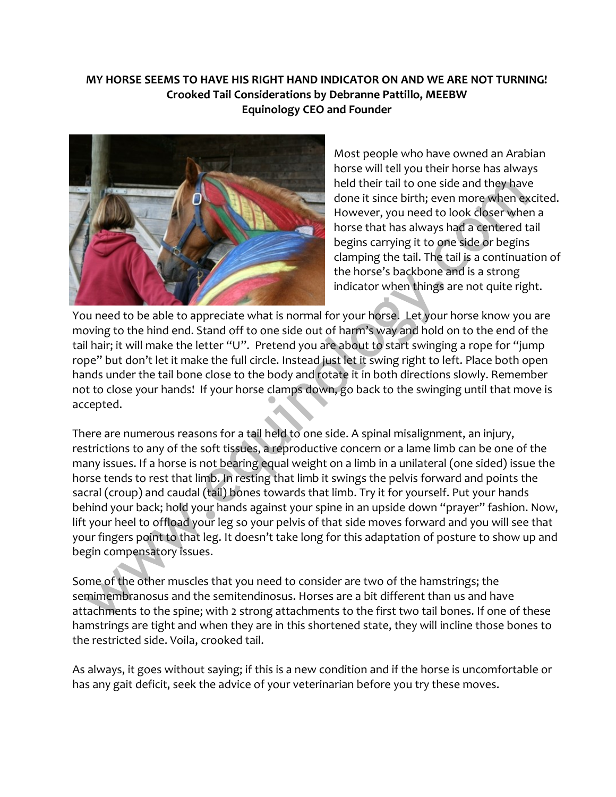# **MY HORSE SEEMS TO HAVE HIS RIGHT HAND INDICATOR ON AND WE ARE NOT TURNING! Crooked Tail Considerations by Debranne Pattillo, MEEBW Equinology CEO and Founder**



Most people who have owned an Arabian horse will tell you their horse has always held their tail to one side and they have done it since birth; even more when excited. However, you need to look closer when a horse that has always had a centered tail begins carrying it to one side or begins clamping the tail. The tail is a continuation of the horse's backbone and is a strong indicator when things are not quite right.

You need to be able to appreciate what is normal for your horse. Let your horse know you are moving to the hind end. Stand off to one side out of harm's way and hold on to the end of the tail hair; it will make the letter "U". Pretend you are about to start swinging a rope for "jump rope" but don't let it make the full circle. Instead just let it swing right to left. Place both open hands under the tail bone close to the body and rotate it in both directions slowly. Remember not to close your hands! If your horse clamps down, go back to the swinging until that move is accepted.

There are numerous reasons for a tail held to one side. A spinal misalignment, an injury, restrictions to any of the soft tissues, a reproductive concern or a lame limb can be one of the many issues. If a horse is not bearing equal weight on a limb in a unilateral (one sided) issue the horse tends to rest that limb. In resting that limb it swings the pelvis forward and points the sacral (croup) and caudal (tail) bones towards that limb. Try it for yourself. Put your hands behind your back; hold your hands against your spine in an upside down "prayer" fashion. Now, lift your heel to offload your leg so your pelvis of that side moves forward and you will see that your fingers point to that leg. It doesn't take long for this adaptation of posture to show up and begin compensatory issues.

Some of the other muscles that you need to consider are two of the hamstrings; the semimembranosus and the semitendinosus. Horses are a bit different than us and have attachments to the spine; with 2 strong attachments to the first two tail bones. If one of these hamstrings are tight and when they are in this shortened state, they will incline those bones to the restricted side. Voila, crooked tail.

As always, it goes without saying; if this is a new condition and if the horse is uncomfortable or has any gait deficit, seek the advice of your veterinarian before you try these moves.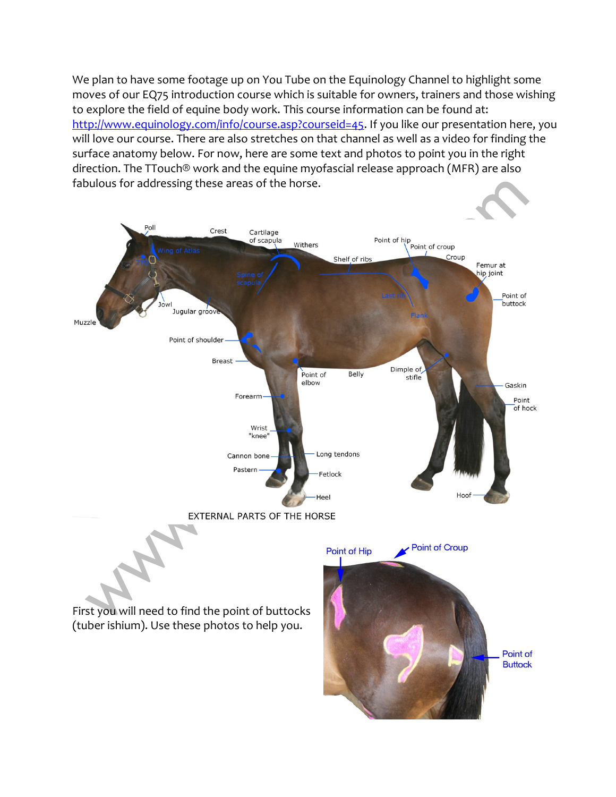We plan to have some footage up on You Tube on the Equinology Channel to highlight some moves of our EQ75 introduction course which is suitable for owners, trainers and those wishing to explore the field of equine body work. This course information can be found at: [http://www.equinology.com/info/course.asp?courseid=45.](http://www.equinology.com/info/course.asp?courseid=45) If you like our presentation here, you will love our course. There are also stretches on that channel as well as a video for finding the surface anatomy below. For now, here are some text and photos to point you in the right direction. The TTouch® work and the equine myofascial release approach (MFR) are also fabulous for addressing these areas of the horse.

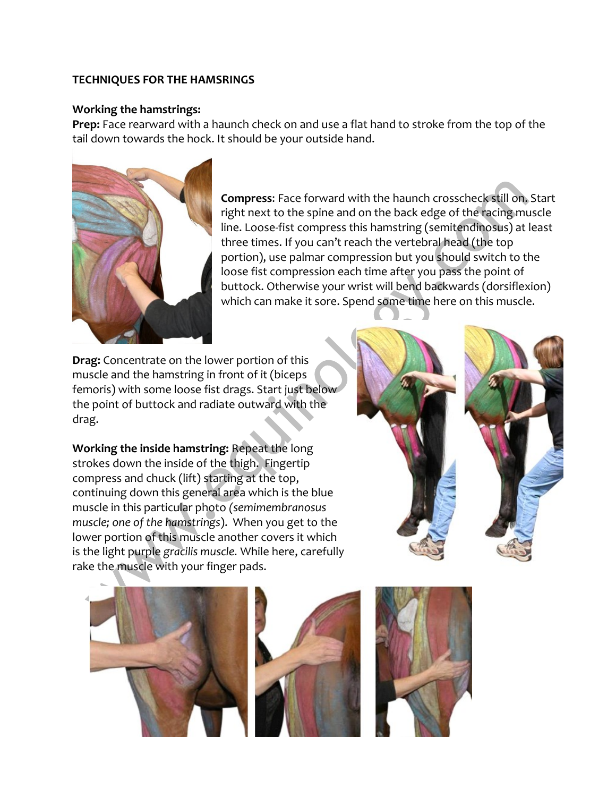### **TECHNIQUES FOR THE HAMSRINGS**

### **Working the hamstrings:**

**Prep:** Face rearward with a haunch check on and use a flat hand to stroke from the top of the tail down towards the hock. It should be your outside hand.



**Compress**: Face forward with the haunch crosscheck still on. Start right next to the spine and on the back edge of the racing muscle line. Loose-fist compress this hamstring (semitendinosus) at least three times. If you can't reach the vertebral head (the top portion), use palmar compression but you should switch to the loose fist compression each time after you pass the point of buttock. Otherwise your wrist will bend backwards (dorsiflexion) which can make it sore. Spend some time here on this muscle.

**Drag:** Concentrate on the lower portion of this muscle and the hamstring in front of it (biceps femoris) with some loose fist drags. Start just below the point of buttock and radiate outward with the drag.

**Working the inside hamstring:** Repeat the long strokes down the inside of the thigh. Fingertip compress and chuck (lift) starting at the top, continuing down this general area which is the blue muscle in this particular photo *(semimembranosus muscle; one of the hamstrings*). When you get to the lower portion of this muscle another covers it which is the light purple *gracilis muscle.* While here, carefully rake the muscle with your finger pads.





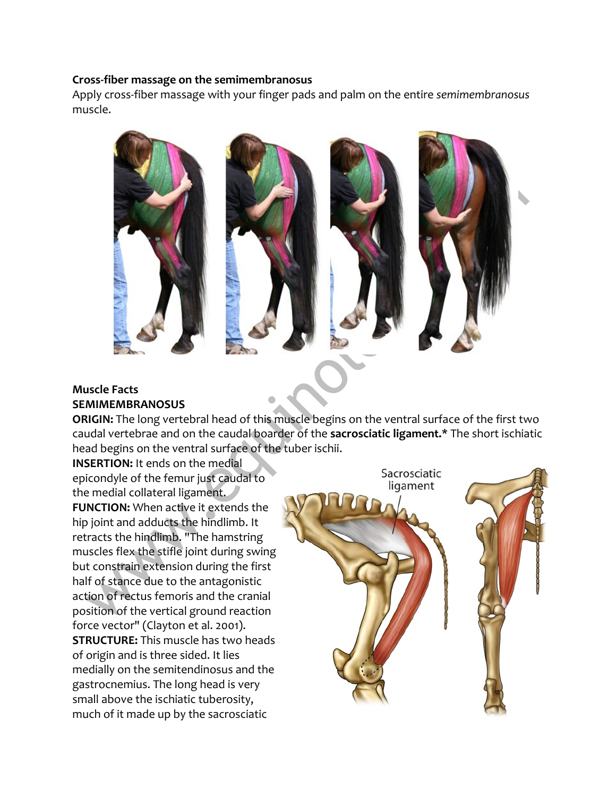#### **Cross-fiber massage on the semimembranosus**

Apply cross-fiber massage with your finger pads and palm on the entire *semimembranosus* muscle.



## **Muscle Facts SEMIMEMBRANOSUS**

**ORIGIN:** The long vertebral head of this muscle begins on the ventral surface of the first two caudal vertebrae and on the caudal boarder of the **sacrosciatic ligament.\*** The short ischiatic head begins on the ventral surface of the tuber ischii.

**INSERTION:** It ends on the medial epicondyle of the femur just caudal to the medial collateral ligament. **FUNCTION:** When active it extends the hip joint and adducts the hindlimb. It retracts the hindlimb. "The hamstring muscles flex the stifle joint during swing but constrain extension during the first half of stance due to the antagonistic action of rectus femoris and the cranial position of the vertical ground reaction force vector" (Clayton et al. 2001). **STRUCTURE:** This muscle has two heads of origin and is three sided. It lies medially on the semitendinosus and the gastrocnemius. The long head is very small above the ischiatic tuberosity, much of it made up by the sacrosciatic

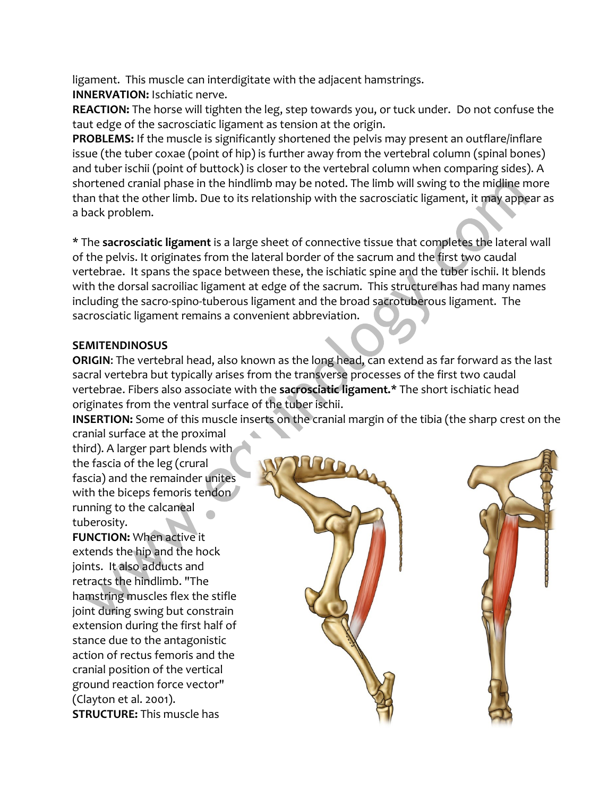ligament. This muscle can interdigitate with the adjacent hamstrings. **INNERVATION:** Ischiatic nerve.

**REACTION:** The horse will tighten the leg, step towards you, or tuck under. Do not confuse the taut edge of the sacrosciatic ligament as tension at the origin.

**PROBLEMS:** If the muscle is significantly shortened the pelvis may present an outflare/inflare issue (the tuber coxae (point of hip) is further away from the vertebral column (spinal bones) and tuber ischii (point of buttock) is closer to the vertebral column when comparing sides). A shortened cranial phase in the hindlimb may be noted. The limb will swing to the midline more than that the other limb. Due to its relationship with the sacrosciatic ligament, it may appear as a back problem.

\* The **sacrosciatic ligament** is a large sheet of connective tissue that completes the lateral wall of the pelvis. It originates from the lateral border of the sacrum and the first two caudal vertebrae. It spans the space between these, the ischiatic spine and the tuber ischii. It blends with the dorsal sacroiliac ligament at edge of the sacrum. This structure has had many names including the sacro-spino-tuberous ligament and the broad sacrotuberous ligament. The sacrosciatic ligament remains a convenient abbreviation.

## **SEMITENDINOSUS**

**ORIGIN**: The vertebral head, also known as the long head, can extend as far forward as the last sacral vertebra but typically arises from the transverse processes of the first two caudal vertebrae. Fibers also associate with the **sacrosciatic ligament.\*** The short ischiatic head originates from the ventral surface of the tuber ischii.

**INSERTION:** Some of this muscle inserts on the cranial margin of the tibia (the sharp crest on the cranial surface at the proximal

third). A larger part blends with the fascia of the leg (crural fascia) and the remainder unites with the biceps femoris tendon running to the calcaneal tuberosity.

**FUNCTION:** When active it extends the hip and the hock joints. It also adducts and retracts the hindlimb. "The hamstring muscles flex the stifle joint during swing but constrain extension during the first half of stance due to the antagonistic action of rectus femoris and the cranial position of the vertical ground reaction force vector" (Clayton et al. 2001). **STRUCTURE:** This muscle has